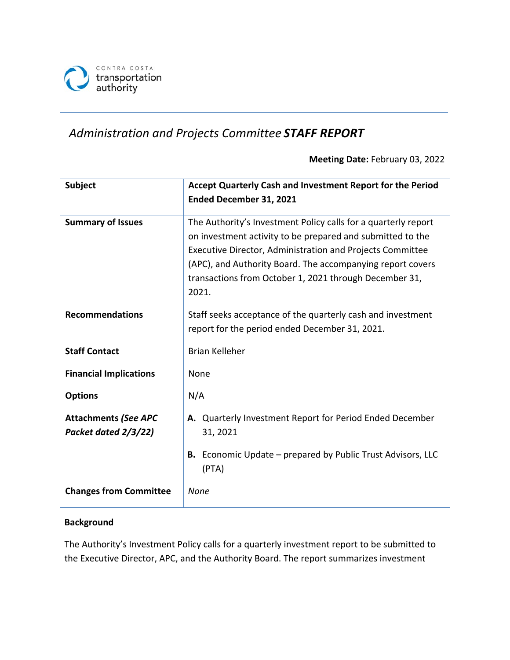

# *Administration and Projects Committee STAFF REPORT*

**Meeting Date:** February 03, 2022

| <b>Subject</b>                                      | Accept Quarterly Cash and Investment Report for the Period<br>Ended December 31, 2021                                                                                                                                                                                                                                      |  |  |
|-----------------------------------------------------|----------------------------------------------------------------------------------------------------------------------------------------------------------------------------------------------------------------------------------------------------------------------------------------------------------------------------|--|--|
| <b>Summary of Issues</b>                            | The Authority's Investment Policy calls for a quarterly report<br>on investment activity to be prepared and submitted to the<br>Executive Director, Administration and Projects Committee<br>(APC), and Authority Board. The accompanying report covers<br>transactions from October 1, 2021 through December 31,<br>2021. |  |  |
| <b>Recommendations</b>                              | Staff seeks acceptance of the quarterly cash and investment<br>report for the period ended December 31, 2021.                                                                                                                                                                                                              |  |  |
| <b>Staff Contact</b>                                | <b>Brian Kelleher</b>                                                                                                                                                                                                                                                                                                      |  |  |
| <b>Financial Implications</b>                       | None                                                                                                                                                                                                                                                                                                                       |  |  |
| <b>Options</b>                                      | N/A                                                                                                                                                                                                                                                                                                                        |  |  |
| <b>Attachments (See APC</b><br>Packet dated 2/3/22) | A. Quarterly Investment Report for Period Ended December<br>31, 2021                                                                                                                                                                                                                                                       |  |  |
|                                                     | <b>B.</b> Economic Update – prepared by Public Trust Advisors, LLC<br>(PTA)                                                                                                                                                                                                                                                |  |  |
| <b>Changes from Committee</b>                       | None                                                                                                                                                                                                                                                                                                                       |  |  |

#### **Background**

The Authority's Investment Policy calls for a quarterly investment report to be submitted to the Executive Director, APC, and the Authority Board. The report summarizes investment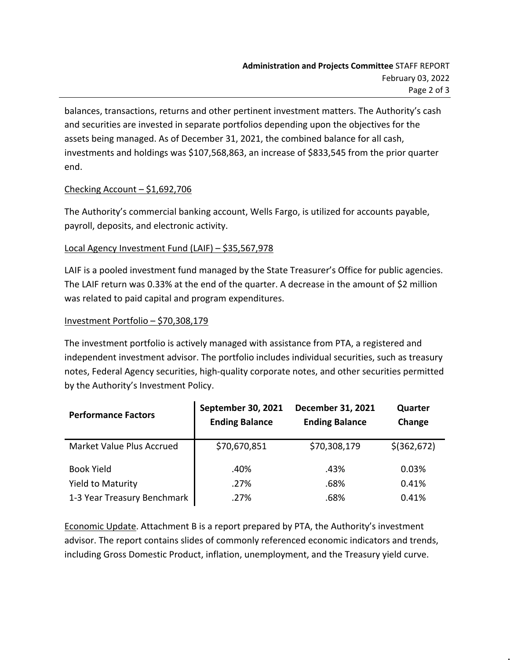balances, transactions, returns and other pertinent investment matters. The Authority's cash and securities are invested in separate portfolios depending upon the objectives for the assets being managed. As of December 31, 2021, the combined balance for all cash, investments and holdings was \$107,568,863, an increase of \$833,545 from the prior quarter end.

#### Checking Account  $-$  \$1,692,706

The Authority's commercial banking account, Wells Fargo, is utilized for accounts payable, payroll, deposits, and electronic activity.

## Local Agency Investment Fund (LAIF) – \$35,567,978

LAIF is a pooled investment fund managed by the State Treasurer's Office for public agencies. The LAIF return was 0.33% at the end of the quarter. A decrease in the amount of \$2 million was related to paid capital and program expenditures.

## Investment Portfolio – \$70,308,179

The investment portfolio is actively managed with assistance from PTA, a registered and independent investment advisor. The portfolio includes individual securities, such as treasury notes, Federal Agency securities, high-quality corporate notes, and other securities permitted by the Authority's Investment Policy.

| <b>Performance Factors</b>  | September 30, 2021<br><b>Ending Balance</b> | December 31, 2021<br><b>Ending Balance</b> | Quarter<br>Change |
|-----------------------------|---------------------------------------------|--------------------------------------------|-------------------|
| Market Value Plus Accrued   | \$70,670,851                                | \$70,308,179                               | $$$ (362,672)     |
| <b>Book Yield</b>           | .40%                                        | .43%                                       | 0.03%             |
| <b>Yield to Maturity</b>    | .27%                                        | .68%                                       | 0.41%             |
| 1-3 Year Treasury Benchmark | .27%                                        | .68%                                       | 0.41%             |

Economic Update. Attachment B is a report prepared by PTA, the Authority's investment advisor. The report contains slides of commonly referenced economic indicators and trends, including Gross Domestic Product, inflation, unemployment, and the Treasury yield curve.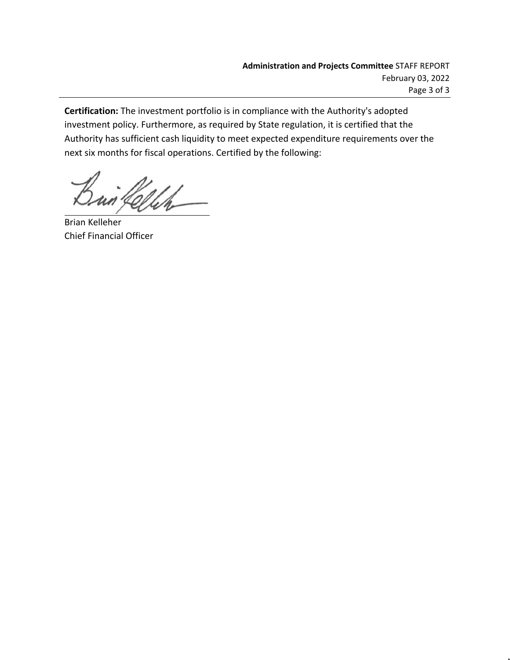**Certification:** The investment portfolio is in compliance with the Authority's adopted investment policy. Furthermore, as required by State regulation, it is certified that the Authority has sufficient cash liquidity to meet expected expenditure requirements over the next six months for fiscal operations. Certified by the following:

un fellen

Brian Kelleher Chief Financial Officer